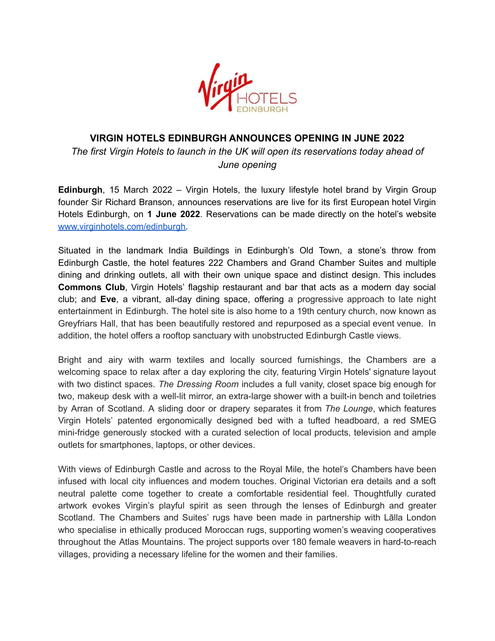

## **VIRGIN HOTELS EDINBURGH ANNOUNCES OPENING IN JUNE 2022**

*The first Virgin Hotels to launch in the UK will open its reservations today ahead of June opening*

**Edinburgh**, 15 March 2022 – Virgin Hotels, the luxury lifestyle hotel brand by Virgin Group founder Sir Richard Branson, announces reservations are live for its first European hotel Virgin Hotels Edinburgh, on **1 June 2022**. Reservations can be made directly on the hotel's website [www.virginhotels.com/edinburgh.](http://www.virginhotels.com/edinburgh)

Situated in the landmark India Buildings in Edinburgh's Old Town, a stone's throw from Edinburgh Castle, the hotel features 222 Chambers and Grand Chamber Suites and multiple dining and drinking outlets, all with their own unique space and distinct design. This includes **Commons Club**, Virgin Hotels' flagship restaurant and bar that acts as a modern day social club; and **Eve**, a vibrant, all-day dining space, offering a progressive approach to late night entertainment in Edinburgh. The hotel site is also home to a 19th century church, now known as Greyfriars Hall, that has been beautifully restored and repurposed as a special event venue. In addition, the hotel offers a rooftop sanctuary with unobstructed Edinburgh Castle views.

Bright and airy with warm textiles and locally sourced furnishings, the Chambers are a welcoming space to relax after a day exploring the city, featuring Virgin Hotels' signature layout with two distinct spaces. *The Dressing Room* includes a full vanity, closet space big enough for two, makeup desk with a well-lit mirror, an extra-large shower with a built-in bench and toiletries by Arran of Scotland. A sliding door or drapery separates it from *The Lounge*, which features Virgin Hotels' patented ergonomically designed bed with a tufted headboard, a red SMEG mini-fridge generously stocked with a curated selection of local products, television and ample outlets for smartphones, laptops, or other devices.

With views of Edinburgh Castle and across to the Royal Mile, the hotel's Chambers have been infused with local city influences and modern touches. Original Victorian era details and a soft neutral palette come together to create a comfortable residential feel. Thoughtfully curated artwork evokes Virgin's playful spirit as seen through the lenses of Edinburgh and greater Scotland. The Chambers and Suites' rugs have been made in partnership with Lālla London who specialise in ethically produced Moroccan rugs, supporting women's weaving cooperatives throughout the Atlas Mountains. The project supports over 180 female weavers in hard-to-reach villages, providing a necessary lifeline for the women and their families.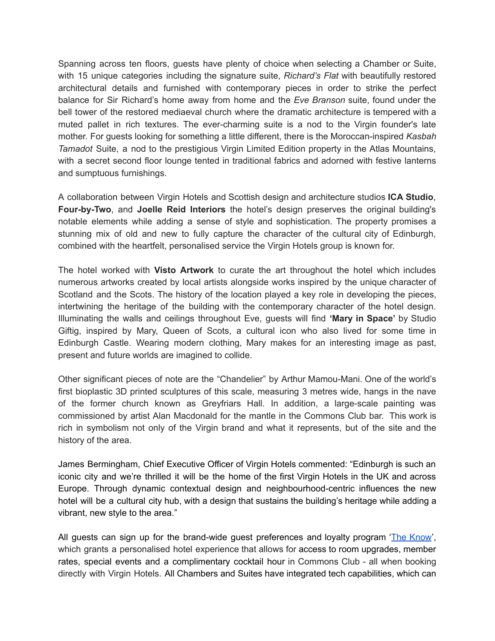Spanning across ten floors, guests have plenty of choice when selecting a Chamber or Suite, with 15 unique categories including the signature suite, *Richard's Flat* with beautifully restored architectural details and furnished with contemporary pieces in order to strike the perfect balance for Sir Richard's home away from home and the *Eve Branson* suite, found under the bell tower of the restored mediaeval church where the dramatic architecture is tempered with a muted pallet in rich textures. The ever-charming suite is a nod to the Virgin founder's late mother. For guests looking for something a little different, there is the Moroccan-inspired *Kasbah Tamadot* Suite, a nod to the prestigious Virgin Limited Edition property in the Atlas Mountains, with a secret second floor lounge tented in traditional fabrics and adorned with festive lanterns and sumptuous furnishings.

A collaboration between Virgin Hotels and Scottish design and architecture studios **ICA Studio**, **Four-by-Two**, and **Joelle Reid Interiors** the hotel's design preserves the original building's notable elements while adding a sense of style and sophistication. The property promises a stunning mix of old and new to fully capture the character of the cultural city of Edinburgh, combined with the heartfelt, personalised service the Virgin Hotels group is known for.

The hotel worked with **Visto Artwork** to curate the art throughout the hotel which includes numerous artworks created by local artists alongside works inspired by the unique character of Scotland and the Scots. The history of the location played a key role in developing the pieces, intertwining the heritage of the building with the contemporary character of the hotel design. Illuminating the walls and ceilings throughout Eve, guests will find **'Mary in Space'** by Studio Giftig, inspired by Mary, Queen of Scots, a cultural icon who also lived for some time in Edinburgh Castle. Wearing modern clothing, Mary makes for an interesting image as past, present and future worlds are imagined to collide.

Other significant pieces of note are the "Chandelier" by Arthur Mamou-Mani. One of the world's first bioplastic 3D printed sculptures of this scale, measuring 3 metres wide, hangs in the nave of the former church known as Greyfriars Hall. In addition, a large-scale painting was commissioned by artist Alan Macdonald for the mantle in the Commons Club bar. This work is rich in symbolism not only of the Virgin brand and what it represents, but of the site and the history of the area.

James Bermingham, Chief Executive Officer of Virgin Hotels commented: "Edinburgh is such an iconic city and we're thrilled it will be the home of the first Virgin Hotels in the UK and across Europe. Through dynamic contextual design and neighbourhood-centric influences the new hotel will be a cultural city hub, with a design that sustains the building's heritage while adding a vibrant, new style to the area."

All guests can sign up for the brand-wide guest preferences and loyalty program 'The [Know](https://virginhotels.com/the-know/)', which grants a personalised hotel experience that allows for access to room upgrades, member rates, special events and a complimentary cocktail hour in Commons Club - all when booking directly with Virgin Hotels. All Chambers and Suites have integrated tech capabilities, which can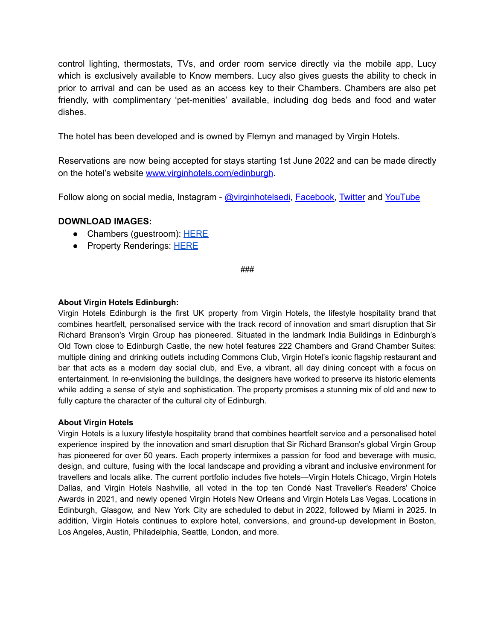control lighting, thermostats, TVs, and order room service directly via the mobile app, [Lucy](https://virginhotels.com/about-the-app/) which is exclusively available to Know members. Lucy also gives guests the ability to check in prior to arrival and can be used as an access key to their Chambers. Chambers are also pet friendly, with complimentary 'pet-menities' available, including dog beds and food and water dishes.

The hotel has been developed and is owned by Flemyn and managed by Virgin Hotels.

Reservations are now being accepted for stays starting 1st June 2022 and can be made directly on the hotel's website [www.virginhotels.com/edinburg](http://www.virginhotels.com/edinburgh)h.

Follow along on social media, Instagram - [@virginhotelsedi](https://www.instagram.com/virginhotelsedi/), [Facebook,](https://www.facebook.com/virginhotelsedinburgh) [Twitter](https://twitter.com/virginhotelsedi) and [YouTube](https://www.youtube.com/c/VirginHotels)

## **DOWNLOAD IMAGES:**

- Chambers (guestroom): [HERE](https://www.dropbox.com/sh/5wks3gu5zz6t2ag/AAB9DNW1qjlmm5NBWv2J4aiFa?dl=0)
- Property Renderings: [HERE](https://www.dropbox.com/sh/hekkn712hq0toe6/AABltvAB2Xf2EPjEoY3SZ933a?dl=0)

###

## **About Virgin Hotels Edinburgh:**

Virgin Hotels Edinburgh is the first UK property from Virgin Hotels, the lifestyle hospitality brand that combines heartfelt, personalised service with the track record of innovation and smart disruption that Sir Richard Branson's Virgin Group has pioneered. Situated in the landmark India Buildings in Edinburgh's Old Town close to Edinburgh Castle, the new hotel features 222 Chambers and Grand Chamber Suites: multiple dining and drinking outlets including Commons Club, Virgin Hotel's iconic flagship restaurant and bar that acts as a modern day social club, and Eve, a vibrant, all day dining concept with a focus on entertainment. In re-envisioning the buildings, the designers have worked to preserve its historic elements while adding a sense of style and sophistication. The property promises a stunning mix of old and new to fully capture the character of the cultural city of Edinburgh.

## **About Virgin Hotels**

Virgin Hotels is a luxury lifestyle hospitality brand that combines heartfelt service and a personalised hotel experience inspired by the innovation and smart disruption that Sir Richard Branson's global Virgin Group has pioneered for over 50 years. Each property intermixes a passion for food and beverage with music, design, and culture, fusing with the local landscape and providing a vibrant and inclusive environment for travellers and locals alike. The current portfolio includes five hotels—Virgin Hotels Chicago, Virgin Hotels Dallas, and Virgin Hotels Nashville, all voted in the top ten Condé Nast Traveller's Readers' Choice Awards in 2021, and newly opened Virgin Hotels New Orleans and Virgin Hotels Las Vegas. Locations in Edinburgh, Glasgow, and New York City are scheduled to debut in 2022, followed by Miami in 2025. In addition, Virgin Hotels continues to explore hotel, conversions, and ground-up development in Boston, Los Angeles, Austin, Philadelphia, Seattle, London, and more.